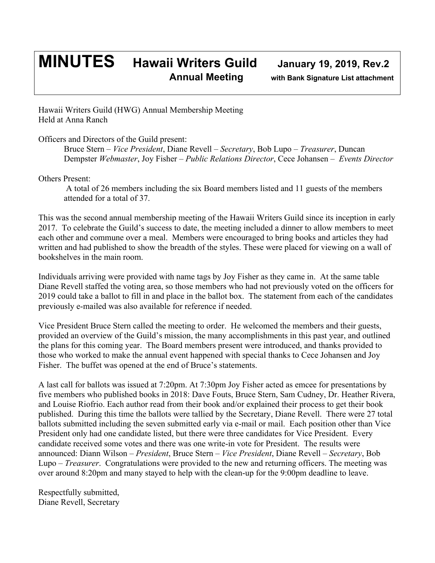## **MINUTES Hawaii Writers Guild January 19, 2019, Rev.2 Annual Meeting with Bank Signature List attachment**

Hawaii Writers Guild (HWG) Annual Membership Meeting Held at Anna Ranch

Officers and Directors of the Guild present:

Bruce Stern – *Vice President*, Diane Revell – *Secretary*, Bob Lupo – *Treasurer*, Duncan Dempster *Webmaster*, Joy Fisher – *Public Relations Director*, Cece Johansen – *Events Director*

Others Present:

A total of 26 members including the six Board members listed and 11 guests of the members attended for a total of 37.

This was the second annual membership meeting of the Hawaii Writers Guild since its inception in early 2017. To celebrate the Guild's success to date, the meeting included a dinner to allow members to meet each other and commune over a meal. Members were encouraged to bring books and articles they had written and had published to show the breadth of the styles. These were placed for viewing on a wall of bookshelves in the main room.

Individuals arriving were provided with name tags by Joy Fisher as they came in. At the same table Diane Revell staffed the voting area, so those members who had not previously voted on the officers for 2019 could take a ballot to fill in and place in the ballot box. The statement from each of the candidates previously e-mailed was also available for reference if needed.

Vice President Bruce Stern called the meeting to order. He welcomed the members and their guests, provided an overview of the Guild's mission, the many accomplishments in this past year, and outlined the plans for this coming year. The Board members present were introduced, and thanks provided to those who worked to make the annual event happened with special thanks to Cece Johansen and Joy Fisher. The buffet was opened at the end of Bruce's statements.

A last call for ballots was issued at 7:20pm. At 7:30pm Joy Fisher acted as emcee for presentations by five members who published books in 2018: Dave Fouts, Bruce Stern, Sam Cudney, Dr. Heather Rivera, and Louise Riofrio. Each author read from their book and/or explained their process to get their book published. During this time the ballots were tallied by the Secretary, Diane Revell. There were 27 total ballots submitted including the seven submitted early via e-mail or mail. Each position other than Vice President only had one candidate listed, but there were three candidates for Vice President. Every candidate received some votes and there was one write-in vote for President. The results were announced: Diann Wilson – *President*, Bruce Stern – *Vice President*, Diane Revell – *Secretary*, Bob Lupo – *Treasurer*. Congratulations were provided to the new and returning officers. The meeting was over around 8:20pm and many stayed to help with the clean-up for the 9:00pm deadline to leave.

Respectfully submitted, Diane Revell, Secretary